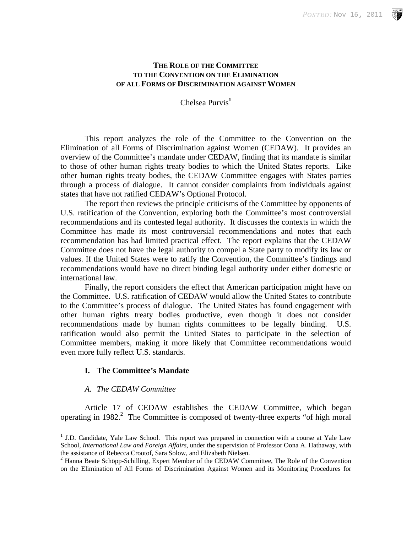### **THE ROLE OF THE COMMITTEE TO THE CONVENTION ON THE ELIMINATION OF ALL FORMS OF DISCRIMINATION AGAINST WOMEN**

Chelsea Purvis**<sup>1</sup>**

 This report analyzes the role of the Committee to the Convention on the Elimination of all Forms of Discrimination against Women (CEDAW). It provides an overview of the Committee's mandate under CEDAW, finding that its mandate is similar to those of other human rights treaty bodies to which the United States reports. Like other human rights treaty bodies, the CEDAW Committee engages with States parties through a process of dialogue. It cannot consider complaints from individuals against states that have not ratified CEDAW's Optional Protocol.

 The report then reviews the principle criticisms of the Committee by opponents of U.S. ratification of the Convention, exploring both the Committee's most controversial recommendations and its contested legal authority. It discusses the contexts in which the Committee has made its most controversial recommendations and notes that each recommendation has had limited practical effect. The report explains that the CEDAW Committee does not have the legal authority to compel a State party to modify its law or values. If the United States were to ratify the Convention, the Committee's findings and recommendations would have no direct binding legal authority under either domestic or international law.

 Finally, the report considers the effect that American participation might have on the Committee. U.S. ratification of CEDAW would allow the United States to contribute to the Committee's process of dialogue. The United States has found engagement with other human rights treaty bodies productive, even though it does not consider recommendations made by human rights committees to be legally binding. U.S. ratification would also permit the United States to participate in the selection of Committee members, making it more likely that Committee recommendations would even more fully reflect U.S. standards.

# **I. The Committee's Mandate**

#### *A. The CEDAW Committee*

 $\overline{a}$ 

Article 17 of CEDAW establishes the CEDAW Committee, which began operating in  $1982$ .<sup>2</sup> The Committee is composed of twenty-three experts "of high moral

<sup>&</sup>lt;sup>1</sup> J.D. Candidate, Yale Law School. This report was prepared in connection with a course at Yale Law School, *International Law and Foreign Affairs*, under the supervision of Professor Oona A. Hathaway, with the assistance of Rebecca Crootof, Sara Solow, and Elizabeth Nielsen. 2

 $<sup>2</sup>$  Hanna Beate Schöpp-Schilling, Expert Member of the CEDAW Committee, The Role of the Convention</sup> on the Elimination of All Forms of Discrimination Against Women and its Monitoring Procedures for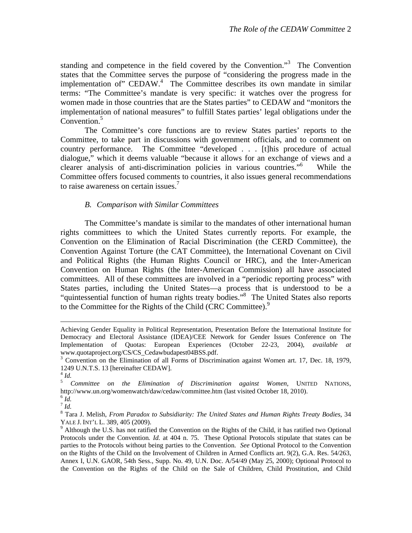standing and competence in the field covered by the Convention."<sup>3</sup> The Convention states that the Committee serves the purpose of "considering the progress made in the implementation of" CEDAW.<sup>4</sup> The Committee describes its own mandate in similar terms: "The Committee's mandate is very specific: it watches over the progress for women made in those countries that are the States parties" to CEDAW and "monitors the implementation of national measures" to fulfill States parties' legal obligations under the Convention.<sup>5</sup>

 The Committee's core functions are to review States parties' reports to the Committee, to take part in discussions with government officials, and to comment on country performance. The Committee "developed . . . [t]his procedure of actual dialogue," which it deems valuable "because it allows for an exchange of views and a clearer analysis of anti-discrimination policies in various countries."6 While the Committee offers focused comments to countries, it also issues general recommendations to raise awareness on certain issues.<sup>7</sup>

### *B. Comparison with Similar Committees*

 The Committee's mandate is similar to the mandates of other international human rights committees to which the United States currently reports. For example, the Convention on the Elimination of Racial Discrimination (the CERD Committee), the Convention Against Torture (the CAT Committee), the International Covenant on Civil and Political Rights (the Human Rights Council or HRC), and the Inter-American Convention on Human Rights (the Inter-American Commission) all have associated committees. All of these committees are involved in a "periodic reporting process" with States parties, including the United States—a process that is understood to be a "quintessential function of human rights treaty bodies."8 The United States also reports to the Committee for the Rights of the Child (CRC Committee).<sup>9</sup>

 $^7$  *Id.* 

Achieving Gender Equality in Political Representation, Presentation Before the International Institute for Democracy and Electoral Assistance (IDEA)/CEE Network for Gender Issues Conference on The Implementation of Quotas: European Experiences (October 22-23, 2004), *available at*  www.quotaproject.org/CS/CS\_Cedawbudapest04BSS.pdf.

<sup>&</sup>lt;sup>3</sup> Convention on the Elimination of all Forms of Discrimination against Women art. 17, Dec. 18, 1979, 1249 U.N.T.S. 13 [hereinafter CEDAW].

 $^{4}$  *Id.* 

<sup>5</sup> *Committee on the Elimination of Discrimination against Women*, UNITED NATIONS, http://www.un.org/womenwatch/daw/cedaw/committee.htm (last visited October 18, 2010). <sup>6</sup> *Id.* 

<sup>8</sup> Tara J. Melish, *From Paradox to Subsidiarity: The United States and Human Rights Treaty Bodies*, 34 YALE J. INT'L L. 389, 405 (2009).

<sup>&</sup>lt;sup>9</sup> Although the U.S. has not ratified the Convention on the Rights of the Child, it has ratified two Optional Protocols under the Convention*. Id.* at 404 n. 75. These Optional Protocols stipulate that states can be parties to the Protocols without being parties to the Convention. *See* Optional Protocol to the Convention on the Rights of the Child on the Involvement of Children in Armed Conflicts art. 9(2), G.A. Res. 54/263, Annex I, U.N. GAOR, 54th Sess., Supp. No. 49, U.N. Doc. A/54/49 (May 25, 2000); Optional Protocol to the Convention on the Rights of the Child on the Sale of Children, Child Prostitution, and Child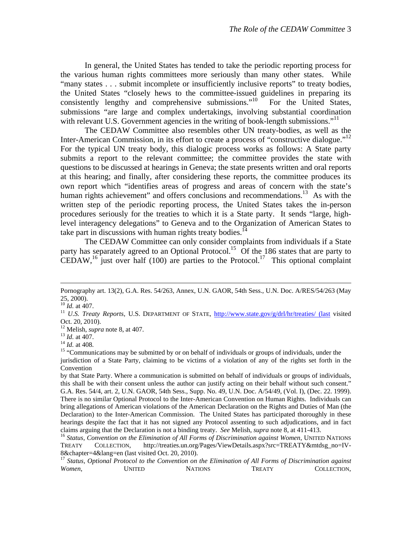In general, the United States has tended to take the periodic reporting process for the various human rights committees more seriously than many other states. While "many states . . . submit incomplete or insufficiently inclusive reports" to treaty bodies, the United States "closely hews to the committee-issued guidelines in preparing its consistently lengthy and comprehensive submissions."<sup>10</sup> For the United States, submissions "are large and complex undertakings, involving substantial coordination with relevant U.S. Government agencies in the writing of book-length submissions."<sup>11</sup>

 The CEDAW Committee also resembles other UN treaty-bodies, as well as the Inter-American Commission, in its effort to create a process of "constructive dialogue."<sup>12</sup> For the typical UN treaty body, this dialogic process works as follows: A State party submits a report to the relevant committee; the committee provides the state with questions to be discussed at hearings in Geneva; the state presents written and oral reports at this hearing; and finally, after considering these reports, the committee produces its own report which "identifies areas of progress and areas of concern with the state's human rights achievement" and offers conclusions and recommendations.<sup>13</sup> As with the written step of the periodic reporting process, the United States takes the in-person procedures seriously for the treaties to which it is a State party. It sends "large, highlevel interagency delegations" to Geneva and to the Organization of American States to take part in discussions with human rights treaty bodies.<sup>14</sup>

 The CEDAW Committee can only consider complaints from individuals if a State party has separately agreed to an Optional Protocol.<sup>15</sup> Of the 186 states that are party to CEDAW,<sup>16</sup> just over half (100) are parties to the Protocol.<sup>17</sup> This optional complaint

Pornography art. 13(2), G.A. Res. 54/263, Annex, U.N. GAOR, 54th Sess., U.N. Doc. A/RES/54/263 (May 25, 2000).<br> $^{10}$  *Id.* at 407.

<sup>&</sup>lt;sup>11</sup> *U.S. Treaty Reports*, U.S. DEPARTMENT OF STATE, http://www.state.gov/g/drl/hr/treaties/ (last visited

Oct. 20, 2010).<br><sup>12</sup> Melish, *supra* note 8, at 407.

<sup>13</sup> *Id.* at 407.<br><sup>14</sup> *Id.* at 408.<br><sup>15</sup> "Communications may be submitted by or on behalf of individuals or groups of individuals, under the jurisdiction of a State Party, claiming to be victims of a violation of any of the rights set forth in the Convention

by that State Party. Where a communication is submitted on behalf of individuals or groups of individuals, this shall be with their consent unless the author can justify acting on their behalf without such consent." G.A. Res. 54/4, art. 2, U.N. GAOR, 54th Sess., Supp. No. 49, U.N. Doc. A/54/49, (Vol. I), (Dec. 22. 1999). There is no similar Optional Protocol to the Inter-American Convention on Human Rights. Individuals can bring allegations of American violations of the American Declaration on the Rights and Duties of Man (the Declaration) to the Inter-American Commission. The United States has participated thoroughly in these hearings despite the fact that it has not signed any Protocol assenting to such adjudications, and in fact claims arguing that the Declaration is not a binding treaty. *See* Melish, *supra* note 8, at 411-413. 16 *Status, Convention on the Elimination of All Forms of Discrimination against Women*, UNITED NATIONS

TREATY COLLECTION, http://treaties.un.org/Pages/ViewDetails.aspx?src=TREATY&mtdsg\_no=IV-8&chapter=4&lang=en (last visited Oct. 20, 2010).

<sup>17</sup> *Status, Optional Protocol to the Convention on the Elimination of All Forms of Discrimination against Women*, UNITED NATIONS TREATY COLLECTION,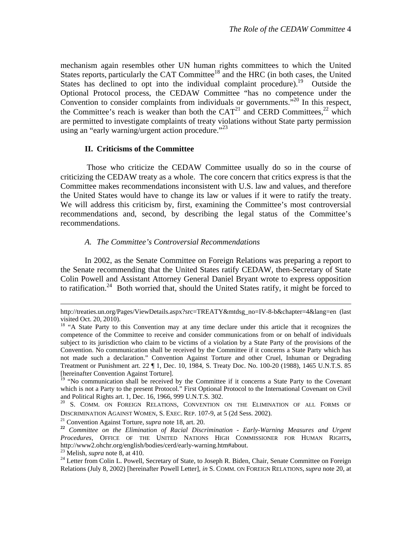mechanism again resembles other UN human rights committees to which the United States reports, particularly the CAT Committee<sup>18</sup> and the HRC (in both cases, the United States has declined to opt into the individual complaint procedure).<sup>19</sup> Outside the Optional Protocol process, the CEDAW Committee "has no competence under the Convention to consider complaints from individuals or governments.<sup>",20</sup> In this respect, the Committee's reach is weaker than both the  $CAT<sup>21</sup>$  and CERD Committees,<sup>22</sup> which are permitted to investigate complaints of treaty violations without State party permission using an "early warning/urgent action procedure."<sup>23</sup>

# **II. Criticisms of the Committee**

 Those who criticize the CEDAW Committee usually do so in the course of criticizing the CEDAW treaty as a whole. The core concern that critics express is that the Committee makes recommendations inconsistent with U.S. law and values, and therefore the United States would have to change its law or values if it were to ratify the treaty. We will address this criticism by, first, examining the Committee's most controversial recommendations and, second, by describing the legal status of the Committee's recommendations.

# *A. The Committee's Controversial Recommendations*

 In 2002, as the Senate Committee on Foreign Relations was preparing a report to the Senate recommending that the United States ratify CEDAW, then-Secretary of State Colin Powell and Assistant Attorney General Daniel Bryant wrote to express opposition to ratification.<sup>24</sup> Both worried that, should the United States ratify, it might be forced to

http://treaties.un.org/Pages/ViewDetails.aspx?src=TREATY&mtdsg\_no=IV-8-b&chapter=4&lang=en (last visited Oct. 20, 2010).

<sup>&</sup>lt;sup>18</sup> "A State Party to this Convention may at any time declare under this article that it recognizes the competence of the Committee to receive and consider communications from or on behalf of individuals subject to its jurisdiction who claim to be victims of a violation by a State Party of the provisions of the Convention. No communication shall be received by the Committee if it concerns a State Party which has not made such a declaration." Convention Against Torture and other Cruel, Inhuman or Degrading Treatment or Punishment art. 22 ¶ 1, Dec. 10, 1984, S. Treaty Doc. No. 100-20 (1988), 1465 U.N.T.S. 85 [hereinafter Convention Against Torture].

 $19$  "No communication shall be received by the Committee if it concerns a State Party to the Covenant which is not a Party to the present Protocol." First Optional Protocol to the International Covenant on Civil and Political Rights art. 1, Dec. 16, 1966, 999 U.N.T.S. 302.

<sup>&</sup>lt;sup>20</sup> S. COMM. ON FOREIGN RELATIONS, CONVENTION ON THE ELIMINATION OF ALL FORMS OF DISCRIMINATION AGAINST WOMEN, S. EXEC. REP. 107-9, at 5 (2d Sess. 2002).<br><sup>21</sup> Convention Against Torture, *supra* note 18, art. 20.<br><sup>22</sup> Committee on the Elimination of Racial Discrimination - Early-Warning Measures and Ur

*Procedures*, OFFICE OF THE UNITED NATIONS HIGH COMMISSIONER FOR HUMAN RIGHTS**,**  http://www2.ohchr.org/english/bodies/cerd/early-warning.htm#about.<br><sup>23</sup> Melish, *supra* note 8, at 410.<br><sup>24</sup> Letter from Colin L. Powell, Secretary of State, to Joseph R. Biden, Chair, Senate Committee on Foreign

Relations (July 8, 2002) [hereinafter Powell Letter], *in* S. COMM. ON FOREIGN RELATIONS, *supra* note 20, at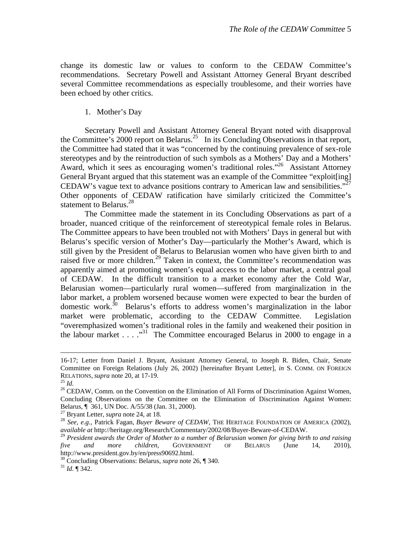change its domestic law or values to conform to the CEDAW Committee's recommendations. Secretary Powell and Assistant Attorney General Bryant described several Committee recommendations as especially troublesome, and their worries have been echoed by other critics.

1. Mother's Day

Secretary Powell and Assistant Attorney General Bryant noted with disapproval the Committee's 2000 report on Belarus.<sup>25</sup> In its Concluding Observations in that report, the Committee had stated that it was "concerned by the continuing prevalence of sex-role stereotypes and by the reintroduction of such symbols as a Mothers' Day and a Mothers' Award, which it sees as encouraging women's traditional roles."26 Assistant Attorney General Bryant argued that this statement was an example of the Committee "exploit[ing] CEDAW's vague text to advance positions contrary to American law and sensibilities."<sup>27</sup> Other opponents of CEDAW ratification have similarly criticized the Committee's statement to Belarus. $^{28}$ 

The Committee made the statement in its Concluding Observations as part of a broader, nuanced critique of the reinforcement of stereotypical female roles in Belarus. The Committee appears to have been troubled not with Mothers' Days in general but with Belarus's specific version of Mother's Day—particularly the Mother's Award, which is still given by the President of Belarus to Belarusian women who have given birth to and raised five or more children.<sup>29</sup> Taken in context, the Committee's recommendation was apparently aimed at promoting women's equal access to the labor market, a central goal of CEDAW. In the difficult transition to a market economy after the Cold War, Belarusian women—particularly rural women—suffered from marginalization in the labor market, a problem worsened because women were expected to bear the burden of domestic work.<sup>30</sup> Belarus's efforts to address women's marginalization in the labor market were problematic, according to the CEDAW Committee. Legislation "overemphasized women's traditional roles in the family and weakened their position in the labour market . . . . .<sup>31</sup> The Committee encouraged Belarus in 2000 to engage in a

 <sup>16-17;</sup> Letter from Daniel J. Bryant, Assistant Attorney General, to Joseph R. Biden, Chair, Senate Committee on Foreign Relations (July 26, 2002) [hereinafter Bryant Letter], *in* S. COMM. ON FOREIGN RELATIONS, *supra* note 20, at 17-19.<br><sup>25</sup> *Id.* <sup>25</sup> *CEDAW*, Comm. on the Convention on the Elimination of All Forms of Discrimination Against Women,

Concluding Observations on the Committee on the Elimination of Discrimination Against Women: Belarus, ¶ 361, UN Doc. A/55/38 (Jan. 31, 2000).<br><sup>27</sup> Bryant Letter, *supra* note 24, at 18.

<sup>&</sup>lt;sup>28</sup> See, e.g., Patrick Fagan, *Buyer Beware of CEDAW*, THE HERITAGE FOUNDATION OF AMERICA (2002), *available at* http://heritage.org/Research/Commentary/2002/08/Buyer-Beware-of-CEDAW.

<sup>29</sup> *President awards the Order of Mother to a number of Belarusian women for giving birth to and raising five and more children*, GOVERNMENT OF BELARUS (June 14, 2010), http://www.president.gov.by/en/press90692.html.

<sup>30</sup> Concluding Observations: Belarus, *supra* note 26, ¶ 340. 31 *Id.* ¶ 342.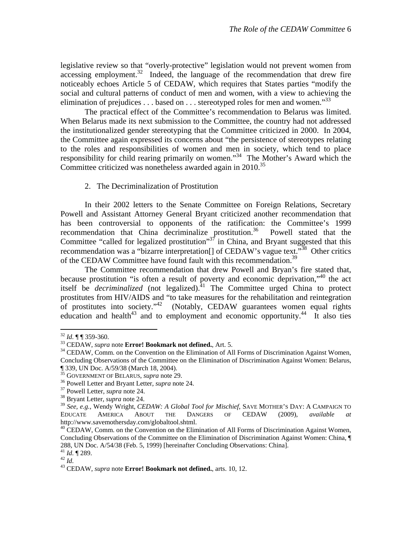legislative review so that "overly-protective" legislation would not prevent women from  $accessing$  employment.<sup>32</sup> Indeed, the language of the recommendation that drew fire noticeably echoes Article 5 of CEDAW, which requires that States parties "modify the social and cultural patterns of conduct of men and women, with a view to achieving the elimination of prejudices  $\dots$  based on  $\dots$  stereotyped roles for men and women.<sup>33</sup>

 The practical effect of the Committee's recommendation to Belarus was limited. When Belarus made its next submission to the Committee, the country had not addressed the institutionalized gender stereotyping that the Committee criticized in 2000. In 2004, the Committee again expressed its concerns about "the persistence of stereotypes relating to the roles and responsibilities of women and men in society, which tend to place responsibility for child rearing primarily on women."34 The Mother's Award which the Committee criticized was nonetheless awarded again in  $2010^{35}$ 

#### 2. The Decriminalization of Prostitution

 In their 2002 letters to the Senate Committee on Foreign Relations, Secretary Powell and Assistant Attorney General Bryant criticized another recommendation that has been controversial to opponents of the ratification: the Committee's 1999 recommendation that China decriminalize prostitution.<sup>36</sup> Powell stated that the Committee "called for legalized prostitution"<sup>37</sup> in China, and Bryant suggested that this recommendation was a "bizarre interpretation<sup>[]</sup> of CEDAW's vague text."<sup>38</sup> Other critics of the CEDAW Committee have found fault with this recommendation.<sup>39</sup>

 The Committee recommendation that drew Powell and Bryan's fire stated that, because prostitution "is often a result of poverty and economic deprivation,"40 the act itself be *decriminalized* (not legalized).<sup>41</sup> The Committee urged China to protect prostitutes from HIV/AIDS and "to take measures for the rehabilitation and reintegration of prostitutes into society."42 (Notably, CEDAW guarantees women equal rights education and health<sup>43</sup> and to employment and economic opportunity.<sup>44</sup> It also ties

<sup>&</sup>lt;sup>32</sup> *Id.* ¶ ¶ 359-360.<br><sup>33</sup> CEDAW, *supra* note **Error! Bookmark not defined.**, Art. 5.<br><sup>34</sup> CEDAW, Comm. on the Convention on the Elimination of All Forms of Discrimination Against Women, Concluding Observations of the Committee on the Elimination of Discrimination Against Women: Belarus,

<sup>¶ 339,</sup> UN Doc. A/59/38 (March 18, 2004).<br><sup>35</sup> GOVERNMENT OF BELARUS, *supra* note 29.

<sup>&</sup>lt;sup>36</sup> Powell Letter and Bryant Letter, *supra* note 24.<br><sup>37</sup> Powell Letter, *supra* note 24.<br><sup>38</sup> Bryant Letter, *supra* note 24.

<sup>39</sup> *See, e.g.,* Wendy Wright, *CEDAW: A Global Tool for Mischief*, SAVE MOTHER'S DAY: A CAMPAIGN TO EDUCATE AMERICA ABOUT THE DANGERS OF CEDAW (2009), *available at*  http://www.savemothersday.com/globaltool.shtml.

<sup>&</sup>lt;sup>40</sup> CEDAW, Comm. on the Convention on the Elimination of All Forms of Discrimination Against Women, Concluding Observations of the Committee on the Elimination of Discrimination Against Women: China, ¶ 288, UN Doc. A/54/38 (Feb. 5, 1999) [hereinafter Concluding Observations: China].<br><sup>41</sup> *Id.* ¶ 289.

<sup>42</sup> *Id.* <sup>42</sup> *Id.* <sup>43</sup> CEDAW, *supra* note **Error! Bookmark not defined.**, arts. 10, 12.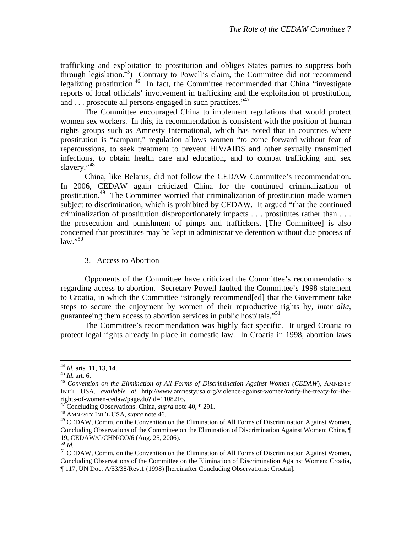trafficking and exploitation to prostitution and obliges States parties to suppress both through legislation.<sup>45</sup>) Contrary to Powell's claim, the Committee did not recommend legalizing prostitution.<sup>46</sup> In fact, the Committee recommended that China "investigate reports of local officials' involvement in trafficking and the exploitation of prostitution, and . . . prosecute all persons engaged in such practices."<sup>47</sup>

 The Committee encouraged China to implement regulations that would protect women sex workers. In this, its recommendation is consistent with the position of human rights groups such as Amnesty International, which has noted that in countries where prostitution is "rampant," regulation allows women "to come forward without fear of repercussions, to seek treatment to prevent HIV/AIDS and other sexually transmitted infections, to obtain health care and education, and to combat trafficking and sex slavery."<sup>48</sup>

 China, like Belarus, did not follow the CEDAW Committee's recommendation. In 2006, CEDAW again criticized China for the continued criminalization of prostitution.<sup>49</sup> The Committee worried that criminalization of prostitution made women subject to discrimination, which is prohibited by CEDAW. It argued "that the continued criminalization of prostitution disproportionately impacts . . . prostitutes rather than . . . the prosecution and punishment of pimps and traffickers. [The Committee] is also concerned that prostitutes may be kept in administrative detention without due process of  $\text{law.}^{50}$ 

3. Access to Abortion

Opponents of the Committee have criticized the Committee's recommendations regarding access to abortion. Secretary Powell faulted the Committee's 1998 statement to Croatia, in which the Committee "strongly recommend[ed] that the Government take steps to secure the enjoyment by women of their reproductive rights by, *inter alia*, guaranteeing them access to abortion services in public hospitals."<sup>51</sup>

The Committee's recommendation was highly fact specific. It urged Croatia to protect legal rights already in place in domestic law. In Croatia in 1998, abortion laws

<sup>&</sup>lt;sup>44</sup> *Id.* arts. 11, 13, 14.<br><sup>45</sup> *Id.* art. 6.<br><sup>46</sup> Convention on the Elimination of All Forms of Discrimination Against Women (CEDAW), AMNESTY INT'L USA, *available at* http://www.amnestyusa.org/violence-against-women/ratify-the-treaty-for-therights-of-women-cedaw/page.do?id=1108216.

<sup>47</sup> Concluding Observations: China, *supra* note 40, ¶ 291. 48 AMNESTY INT'L USA, *supra* note 46.

<sup>&</sup>lt;sup>49</sup> CEDAW, Comm. on the Convention on the Elimination of All Forms of Discrimination Against Women, Concluding Observations of the Committee on the Elimination of Discrimination Against Women: China, ¶ 19, CEDAW/C/CHN/CO/6 (Aug. 25, 2006).<br><sup>50</sup> *Id. Id.* S1 CEDAW, Comm. on the Convention on the Elimination of All Forms of Discrimination Against Women,

Concluding Observations of the Committee on the Elimination of Discrimination Against Women: Croatia, ¶ 117, UN Doc. A/53/38/Rev.1 (1998) [hereinafter Concluding Observations: Croatia].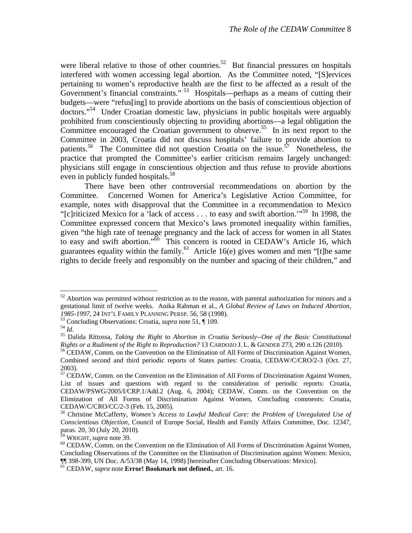were liberal relative to those of other countries.<sup>52</sup> But financial pressures on hospitals interfered with women accessing legal abortion. As the Committee noted, "[S]ervices pertaining to women's reproductive health are the first to be affected as a result of the Government's financial constraints."<sup>53</sup> Hospitals—perhaps as a means of cutting their budgets—were "refus[ing] to provide abortions on the basis of conscientious objection of doctors."54 Under Croatian domestic law, physicians in public hospitals were arguably prohibited from conscientiously objecting to providing abortions—a legal obligation the Committee encouraged the Croatian government to observe.<sup>55</sup> In its next report to the Committee in 2003, Croatia did not discuss hospitals' failure to provide abortion to patients.<sup>56</sup> The Committee did not question Croatia on the issue.<sup>57</sup> Nonetheless, the practice that prompted the Committee's earlier criticism remains largely unchanged: physicians still engage in conscientious objection and thus refuse to provide abortions even in publicly funded hospitals.<sup>58</sup>

There have been other controversial recommendations on abortion by the Committee. Concerned Women for America's Legislative Action Committee, for example, notes with disapproval that the Committee in a recommendation to Mexico "[c]riticized Mexico for a 'lack of access . . . to easy and swift abortion.'"59 In 1998, the Committee expressed concern that Mexico's laws promoted inequality within families, given "the high rate of teenage pregnancy and the lack of access for women in all States to easy and swift abortion."<sup>60</sup> This concern is rooted in CEDAW's Article 16, which guarantees equality within the family. $61$  Article 16(e) gives women and men "[t]he same rights to decide freely and responsibly on the number and spacing of their children," and

 $52$  Abortion was permitted without restriction as to the reason, with parental authorization for minors and a gestational limit of twelve weeks. Anika Rahman et al., *A Global Review of Laws on Induced Abortion,* 

<sup>1985-1997, 24</sup> INT'L FAMILY PLANNING PERSP. 56, 58 (1998).<br><sup>53</sup> Concluding Observations: Croatia, *supra* note 51,  $\P$  109.<br><sup>54</sup> Id.<br><sup>55</sup> Dalida Rittossa, *Taking the Right to Abortion in Croatia Seriously--One of the Basi* 

<sup>&</sup>lt;sup>56</sup> CEDAW, Comm. on the Convention on the Elimination of All Forms of Discrimination Against Women, Combined second and third periodic reports of States parties: Croatia, CEDAW/C/CRO/2-3 (Oct. 27, 2003).

<sup>&</sup>lt;sup>57</sup> CEDAW, Comm. on the Convention on the Elimination of All Forms of Discrimination Against Women, List of issues and questions with regard to the consideration of periodic reports: Croatia, CEDAW/PSWG/2005/I/CRP.1/Add.2 (Aug. 6, 2004); CEDAW, Comm. on the Convention on the Elimination of All Forms of Discrimination Against Women, Concluding comments: Croatia, CEDAW/C/CRO/CC/2-3 (Feb. 15, 2005).

<sup>58</sup> Christine McCafferty, *Women's Access to Lawful Medical Care: the Problem of Unregulated Use of Conscientious Objection*, Council of Europe Social, Health and Family Affairs Committee, Doc. 12347, paras. 20, 30 (July 20, 2010).<br><sup>59</sup> WRIGHT, *supra* note 39.

<sup>&</sup>lt;sup>60</sup> CEDAW, Comm. on the Convention on the Elimination of All Forms of Discrimination Against Women, Concluding Observations of the Committee on the Elimination of Discrimination against Women: Mexico, ¶¶ 398-399, UN Doc. A/53/38 (May 14, 1998) [hereinafter Concluding Observations: Mexico].

<sup>61</sup> CEDAW, *supra* note **Error! Bookmark not defined.**, art. 16.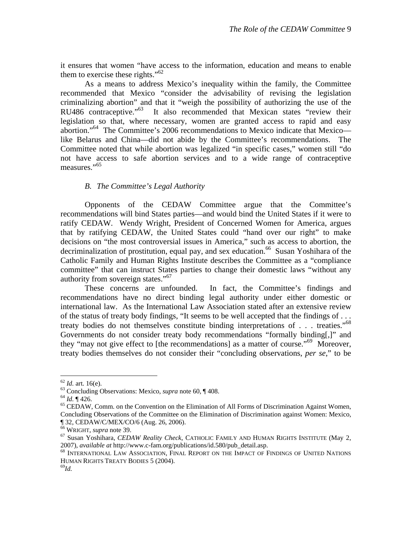it ensures that women "have access to the information, education and means to enable them to exercise these rights." $62$ 

 As a means to address Mexico's inequality within the family, the Committee recommended that Mexico "consider the advisability of revising the legislation criminalizing abortion" and that it "weigh the possibility of authorizing the use of the RU486 contraceptive."63 It also recommended that Mexican states "review their legislation so that, where necessary, women are granted access to rapid and easy abortion."64 The Committee's 2006 recommendations to Mexico indicate that Mexico like Belarus and China—did not abide by the Committee's recommendations. The Committee noted that while abortion was legalized "in specific cases," women still "do not have access to safe abortion services and to a wide range of contraceptive measures."65

### *B. The Committee's Legal Authority*

 Opponents of the CEDAW Committee argue that the Committee's recommendations will bind States parties—and would bind the United States if it were to ratify CEDAW. Wendy Wright, President of Concerned Women for America, argues that by ratifying CEDAW, the United States could "hand over our right" to make decisions on "the most controversial issues in America," such as access to abortion, the decriminalization of prostitution, equal pay, and sex education.<sup>66</sup> Susan Yoshihara of the Catholic Family and Human Rights Institute describes the Committee as a "compliance committee" that can instruct States parties to change their domestic laws "without any authority from sovereign states."67

These concerns are unfounded. In fact, the Committee's findings and recommendations have no direct binding legal authority under either domestic or international law. As the International Law Association stated after an extensive review of the status of treaty body findings, "It seems to be well accepted that the findings of . . . treaty bodies do not themselves constitute binding interpretations of . . . treaties."68 Governments do not consider treaty body recommendations "formally binding[,]" and they "may not give effect to [the recommendations] as a matter of course."69 Moreover, treaty bodies themselves do not consider their "concluding observations, *per se*," to be

<sup>&</sup>lt;sup>62</sup> *Id.* art. 16(e).<br><sup>63</sup> Concluding Observations: Mexico, *supra* note 60, ¶ 408.<br><sup>64</sup> *Id.* ¶ 426.<br><sup>65</sup> CEDAW, Comm. on the Convention on the Elimination of All Forms of Discrimination Against Women, Concluding Observations of the Committee on the Elimination of Discrimination against Women: Mexico, ¶ 32, CEDAW/C/MEX/CO/6 (Aug. 26, 2006).<br><sup>66</sup> WRIGHT, *supra* note 39.

<sup>&</sup>lt;sup>67</sup> Susan Yoshihara, *CEDAW Reality Check*, CATHOLIC FAMILY AND HUMAN RIGHTS INSTITUTE (May 2, 2007), *available at* http://www.c-fam.org/publications/id.580/pub detail.asp.

<sup>&</sup>lt;sup>68</sup> INTERNATIONAL LAW ASSOCIATION, FINAL REPORT ON THE IMPACT OF FINDINGS OF UNITED NATIONS HUMAN RIGHTS TREATY BODIES 5 (2004).<br><sup>69</sup>Id.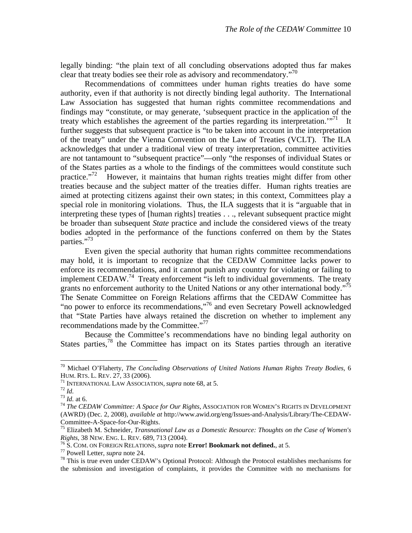legally binding: "the plain text of all concluding observations adopted thus far makes clear that treaty bodies see their role as advisory and recommendatory."<sup>70</sup>

 Recommendations of committees under human rights treaties do have some authority, even if that authority is not directly binding legal authority. The International Law Association has suggested that human rights committee recommendations and findings may "constitute, or may generate, 'subsequent practice in the application of the treaty which establishes the agreement of the parties regarding its interpretation.<sup>"71</sup> It further suggests that subsequent practice is "to be taken into account in the interpretation of the treaty" under the Vienna Convention on the Law of Treaties (VCLT). The ILA acknowledges that under a traditional view of treaty interpretation, committee activities are not tantamount to "subsequent practice"—only "the responses of individual States or of the States parties as a whole to the findings of the committees would constitute such practice."<sup>72</sup> However, it maintains that human rights treaties might differ from other treaties because and the subject matter of the treaties differ. Human rights treaties are aimed at protecting citizens against their own states; in this context, Committees play a special role in monitoring violations. Thus, the ILA suggests that it is "arguable that in interpreting these types of [human rights] treaties . . ., relevant subsequent practice might be broader than subsequent *State* practice and include the considered views of the treaty bodies adopted in the performance of the functions conferred on them by the States parties."73

 Even given the special authority that human rights committee recommendations may hold, it is important to recognize that the CEDAW Committee lacks power to enforce its recommendations, and it cannot punish any country for violating or failing to implement CEDAW.<sup>74</sup> Treaty enforcement "is left to individual governments. The treaty grants no enforcement authority to the United Nations or any other international body."<sup>75</sup> The Senate Committee on Foreign Relations affirms that the CEDAW Committee has "no power to enforce its recommendations,"76 and even Secretary Powell acknowledged that "State Parties have always retained the discretion on whether to implement any recommendations made by the Committee."<sup>77</sup>

Because the Committee's recommendations have no binding legal authority on States parties,78 the Committee has impact on its States parties through an iterative

<sup>70</sup> Michael O'Flaherty, *The Concluding Observations of United Nations Human Rights Treaty Bodies*, 6 HUM. RTS. L. REV. 27, 33 (2006).<br><sup>71</sup> INTERNATIONAL LAW ASSOCIATION, *supra* note 68, at 5.<br><sup>72</sup> Id. at 6.<br><sup>73</sup> Id. at 6.<br><sup>74</sup> The CEDAW Committee: A Space for Our Rights, ASSOCIATION FOR WOMEN'S RIGHTS IN DEVELOPMENT

<sup>(</sup>AWRD) (Dec. 2, 2008), *available at* http://www.awid.org/eng/Issues-and-Analysis/Library/The-CEDAW-

Committee-A-Space-for-Our-Rights.<br><sup>75</sup> Elizabeth M. Schneider, *Transnational Law as a Domestic Resource: Thoughts on the Case of Women's Rights*, 38 NEW. ENG. L. REV. 689, 713 (2004).

<sup>&</sup>lt;sup>76</sup> S. COM. ON FOREIGN RELATIONS, *supra* note **Error! Bookmark not defined.**, at 5.<br><sup>77</sup> Powell Letter, *supra* note 24.<br><sup>78</sup> This is true even under CEDAW's Optional Protocol: Although the Protocol establishes mechanis the submission and investigation of complaints, it provides the Committee with no mechanisms for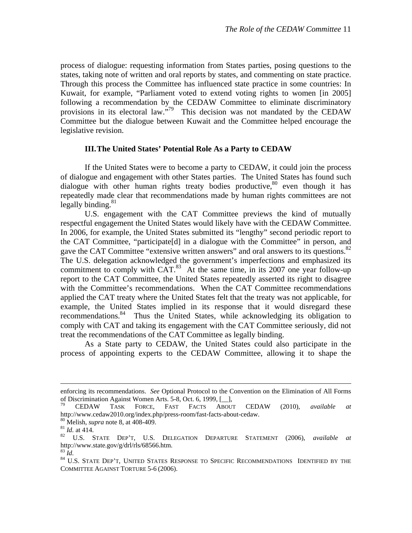process of dialogue: requesting information from States parties, posing questions to the states, taking note of written and oral reports by states, and commenting on state practice. Through this process the Committee has influenced state practice in some countries: In Kuwait, for example, "Parliament voted to extend voting rights to women [in 2005] following a recommendation by the CEDAW Committee to eliminate discriminatory provisions in its electoral law."<sup>79</sup> This decision was not mandated by the CEDAW Committee but the dialogue between Kuwait and the Committee helped encourage the legislative revision.

#### **III.The United States' Potential Role As a Party to CEDAW**

 If the United States were to become a party to CEDAW, it could join the process of dialogue and engagement with other States parties. The United States has found such dialogue with other human rights treaty bodies productive,  $80$  even though it has repeatedly made clear that recommendations made by human rights committees are not legally binding. $81$ 

U.S. engagement with the CAT Committee previews the kind of mutually respectful engagement the United States would likely have with the CEDAW Committee. In 2006, for example, the United States submitted its "lengthy" second periodic report to the CAT Committee, "participate[d] in a dialogue with the Committee" in person, and gave the CAT Committee "extensive written answers" and oral answers to its questions.<sup>82</sup> The U.S. delegation acknowledged the government's imperfections and emphasized its commitment to comply with  $CAT.^{83}$ . At the same time, in its 2007 one year follow-up report to the CAT Committee, the United States repeatedly asserted its right to disagree with the Committee's recommendations. When the CAT Committee recommendations applied the CAT treaty where the United States felt that the treaty was not applicable, for example, the United States implied in its response that it would disregard these recommendations.<sup>84</sup> Thus the United States, while acknowledging its obligation to comply with CAT and taking its engagement with the CAT Committee seriously, did not treat the recommendations of the CAT Committee as legally binding.

 As a State party to CEDAW, the United States could also participate in the process of appointing experts to the CEDAW Committee, allowing it to shape the

enforcing its recommendations. *See* Optional Protocol to the Convention on the Elimination of All Forms of Discrimination Against Women Arts. 5-8, Oct. 6, 1999, [\_\_],

<sup>79</sup> CEDAW TASK FORCE, FAST FACTS ABOUT CEDAW (2010), *available at*  http://www.cedaw2010.org/index.php/press-room/fast-facts-about-cedaw.<br><sup>80</sup> Melish, *supra* note 8, at 408-409.<br><sup>81</sup> *Id.* at 414. <br>82 U.S. STATE DEP'T, U.S. DELEGATION DEPARTURE STATEMENT (2006), *available at* 

http://www.state.gov/g/drl/rls/68566.htm.<br><sup>83</sup> *Id.* 84 U.S. State Dep't, United States Response to Specific Recommendations Identified by the

COMMITTEE AGAINST TORTURE 5-6 (2006).